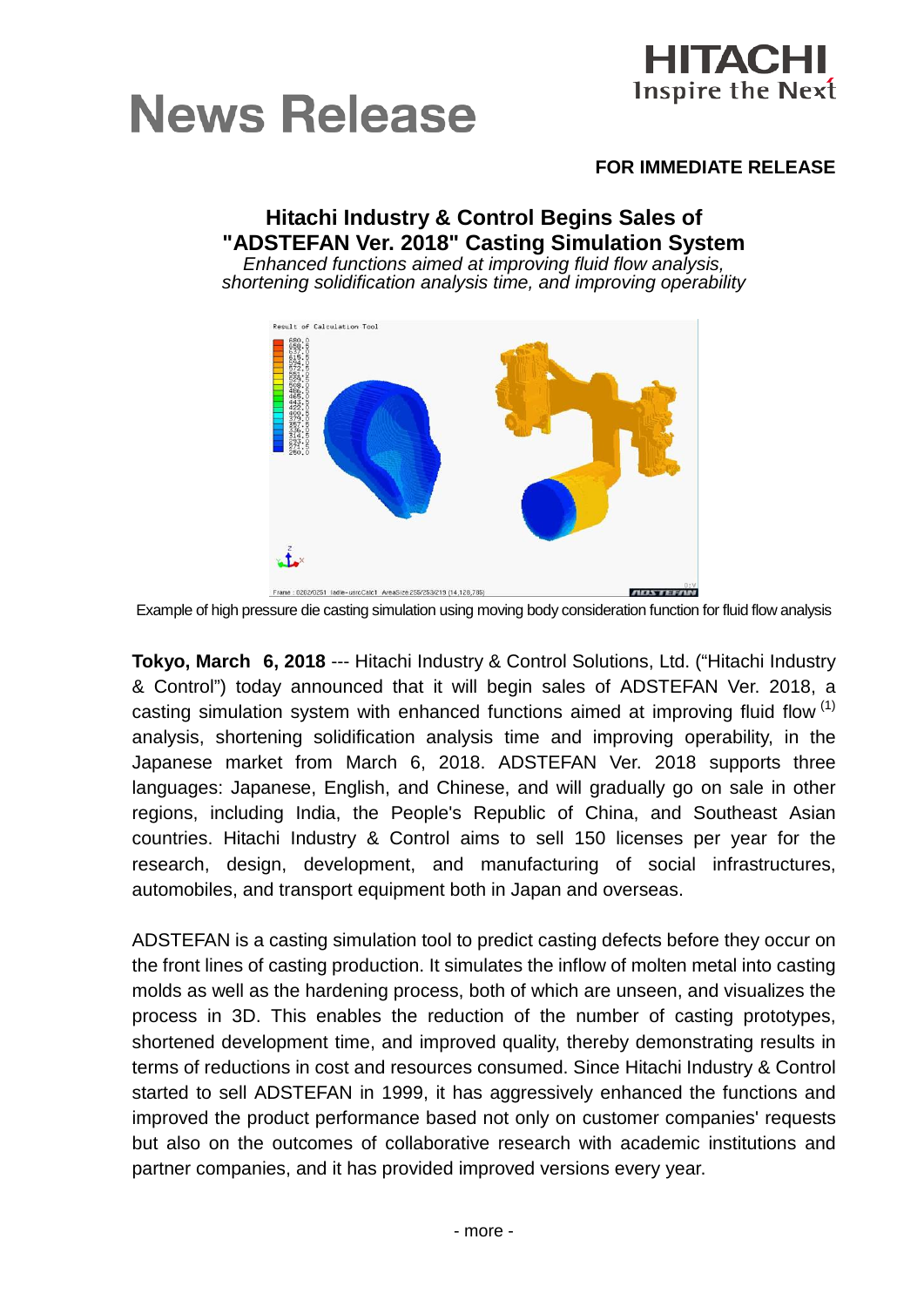



# **FOR IMMEDIATE RELEASE**

### **Hitachi Industry & Control Begins Sales of "ADSTEFAN Ver. 2018" Casting Simulation System** *Enhanced functions aimed at improving fluid flow analysis, shortening solidification analysis time, and improving operability*



Example of high pressure die casting simulation using moving body consideration function for fluid flow analysis

**Tokyo, March 6, 2018** --- Hitachi Industry & Control Solutions, Ltd. ("Hitachi Industry & Control") today announced that it will begin sales of ADSTEFAN Ver. 2018, a casting simulation system with enhanced functions aimed at improving fluid flow  $(1)$ analysis, shortening solidification analysis time and improving operability, in the Japanese market from March 6, 2018. ADSTEFAN Ver. 2018 supports three languages: Japanese, English, and Chinese, and will gradually go on sale in other regions, including India, the People's Republic of China, and Southeast Asian countries. Hitachi Industry & Control aims to sell 150 licenses per year for the research, design, development, and manufacturing of social infrastructures, automobiles, and transport equipment both in Japan and overseas.

ADSTEFAN is a casting simulation tool to predict casting defects before they occur on the front lines of casting production. It simulates the inflow of molten metal into casting molds as well as the hardening process, both of which are unseen, and visualizes the process in 3D. This enables the reduction of the number of casting prototypes, shortened development time, and improved quality, thereby demonstrating results in terms of reductions in cost and resources consumed. Since Hitachi Industry & Control started to sell ADSTEFAN in 1999, it has aggressively enhanced the functions and improved the product performance based not only on customer companies' requests but also on the outcomes of collaborative research with academic institutions and partner companies, and it has provided improved versions every year.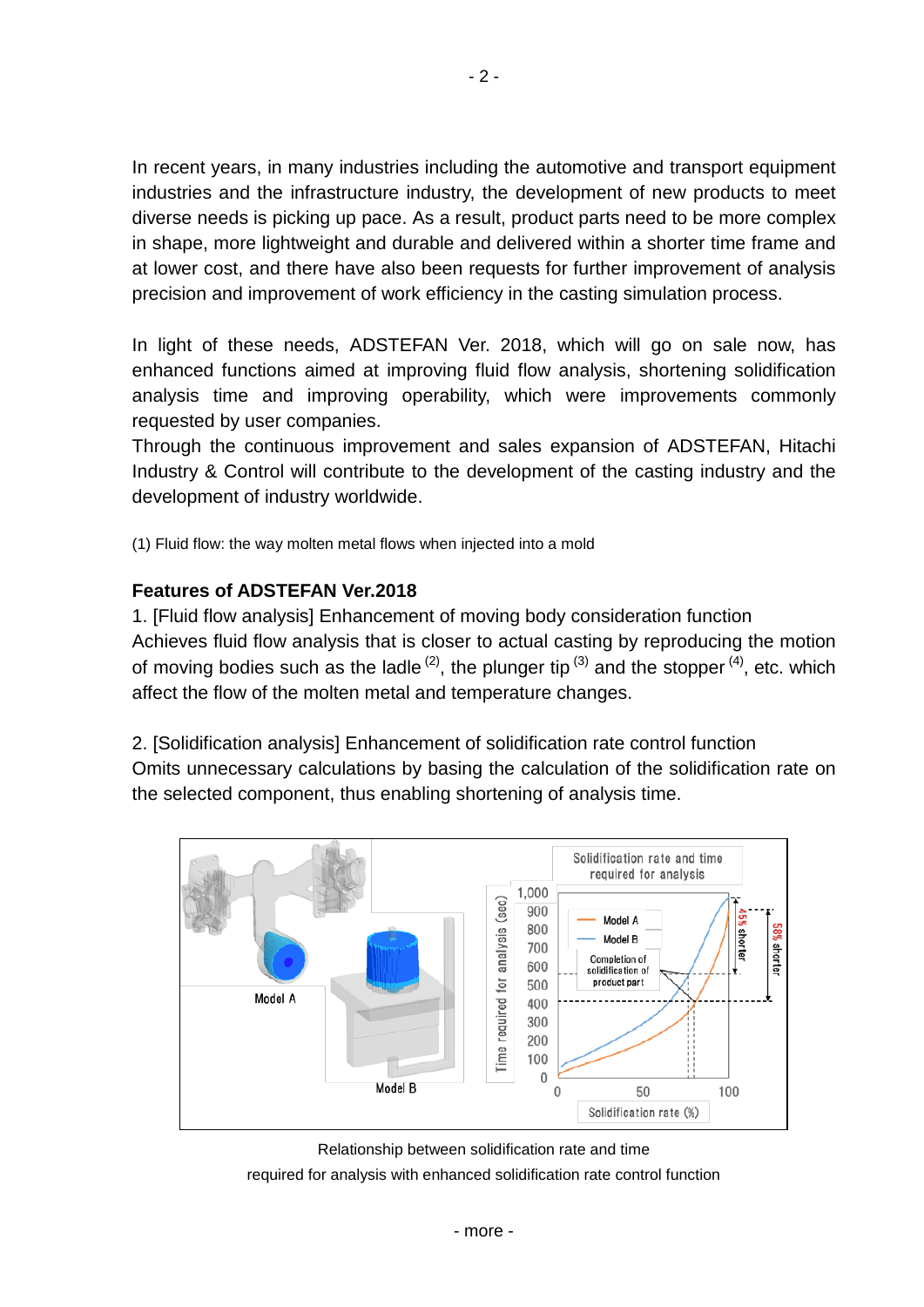In recent years, in many industries including the automotive and transport equipment industries and the infrastructure industry, the development of new products to meet diverse needs is picking up pace. As a result, product parts need to be more complex in shape, more lightweight and durable and delivered within a shorter time frame and at lower cost, and there have also been requests for further improvement of analysis precision and improvement of work efficiency in the casting simulation process.

In light of these needs, ADSTEFAN Ver. 2018, which will go on sale now, has enhanced functions aimed at improving fluid flow analysis, shortening solidification analysis time and improving operability, which were improvements commonly requested by user companies.

Through the continuous improvement and sales expansion of ADSTEFAN, Hitachi Industry & Control will contribute to the development of the casting industry and the development of industry worldwide.

(1) Fluid flow: the way molten metal flows when injected into a mold

# **Features of ADSTEFAN Ver.2018**

1. [Fluid flow analysis] Enhancement of moving body consideration function Achieves fluid flow analysis that is closer to actual casting by reproducing the motion of moving bodies such as the ladle  $^{(2)}$ , the plunger tip  $^{(3)}$  and the stopper  $^{(4)}$ , etc. which affect the flow of the molten metal and temperature changes.

2. [Solidification analysis] Enhancement of solidification rate control function Omits unnecessary calculations by basing the calculation of the solidification rate on the selected component, thus enabling shortening of analysis time.



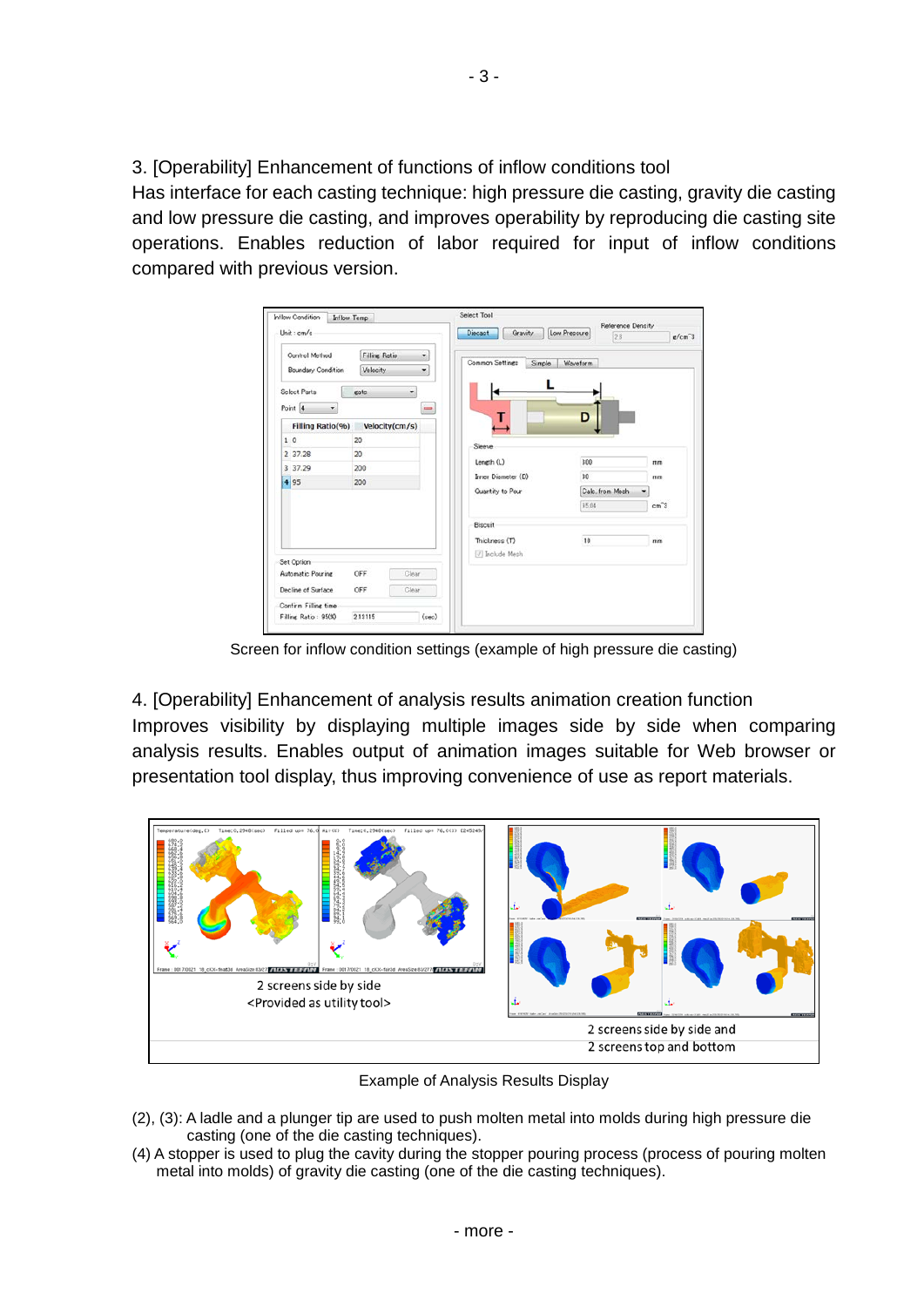3. [Operability] Enhancement of functions of inflow conditions tool

Has interface for each casting technique: high pressure die casting, gravity die casting and low pressure die casting, and improves operability by reproducing die casting site operations. Enables reduction of labor required for input of inflow conditions compared with previous version.

| Unit: cm/s                                                                  |                                               |          | Gravity<br><b>Diecast</b> | Low Pressure<br>2.8 | Reference Density<br>$\epsilon$ /cm <sup>3</sup> |
|-----------------------------------------------------------------------------|-----------------------------------------------|----------|---------------------------|---------------------|--------------------------------------------------|
| Control Method<br><b>Boundary Condition</b><br>Select Parts<br>Point 4<br>٠ | <b>Filling Ratio</b><br>Velocity<br>eate<br>٠ | ۰<br>۰   | Common Settings<br>Simple | <b>Waveform</b>     |                                                  |
| Filling Ratio(%)                                                            | Velocity(cm/s)                                | $\equiv$ | т                         | D                   |                                                  |
| 10                                                                          | 20                                            |          | Sleeve                    |                     |                                                  |
| 2 37.28                                                                     | 20                                            |          |                           |                     |                                                  |
| 3 37.29                                                                     | 200                                           |          | Length (L)                | 300                 | mm                                               |
| 4 95                                                                        | 200                                           |          | Irner Diameter (D)        | 30                  | mm                                               |
|                                                                             |                                               |          | Quantity to Pour          | Calc, from Mesh     |                                                  |
|                                                                             |                                               |          |                           | 95.04               | cm <sup>2</sup> 3                                |
|                                                                             |                                               |          | <b>Biscuit</b>            |                     |                                                  |
|                                                                             |                                               |          | Thickness (T)             | 10                  | mim                                              |
|                                                                             |                                               |          | V Include Mesh            |                     |                                                  |
| Set Option<br>Automatic Pouring                                             | Clear<br>OFF                                  |          |                           |                     |                                                  |
|                                                                             |                                               |          |                           |                     |                                                  |
| Decline of Surface                                                          | Clear<br>OFF                                  |          |                           |                     |                                                  |
| Confirm Filling time                                                        |                                               |          |                           |                     |                                                  |
| Filling Ratio: 9500                                                         | 2.13115                                       | (sec)    |                           |                     |                                                  |

Screen for inflow condition settings (example of high pressure die casting)

4. [Operability] Enhancement of analysis results animation creation function Improves visibility by displaying multiple images side by side when comparing analysis results. Enables output of animation images suitable for Web browser or presentation tool display, thus improving convenience of use as report materials.



Example of Analysis Results Display

- (2), (3): A ladle and a plunger tip are used to push molten metal into molds during high pressure die casting (one of the die casting techniques).
- (4) A stopper is used to plug the cavity during the stopper pouring process (process of pouring molten metal into molds) of gravity die casting (one of the die casting techniques).